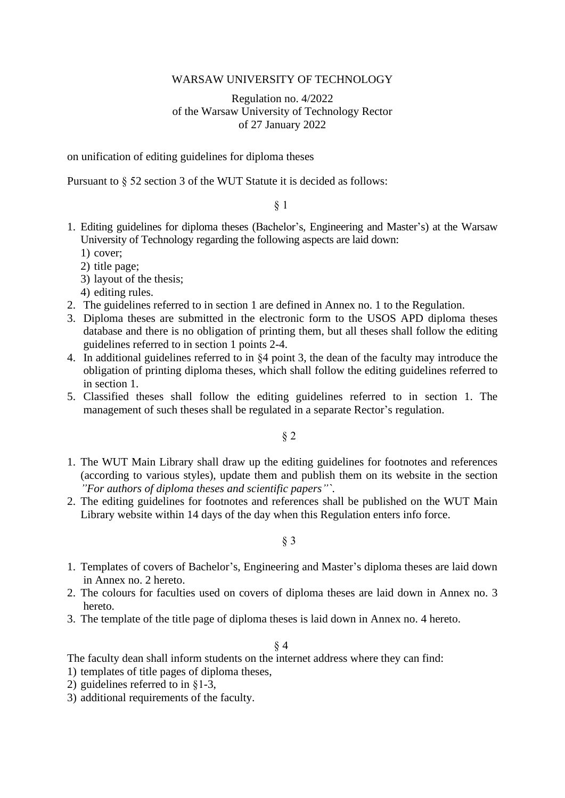### WARSAW UNIVERSITY OF TECHNOLOGY

Regulation no. 4/2022 of the Warsaw University of Technology Rector of 27 January 2022

on unification of editing guidelines for diploma theses

Pursuant to § 52 section 3 of the WUT Statute it is decided as follows:

### § 1

- 1. Editing guidelines for diploma theses (Bachelor's, Engineering and Master's) at the Warsaw University of Technology regarding the following aspects are laid down:
	- 1) cover;
	- 2) title page;
	- 3) layout of the thesis;
	- 4) editing rules.
- 2. The guidelines referred to in section 1 are defined in Annex no. 1 to the Regulation.
- 3. Diploma theses are submitted in the electronic form to the USOS APD diploma theses database and there is no obligation of printing them, but all theses shall follow the editing guidelines referred to in section 1 points 2-4.
- 4. In additional guidelines referred to in §4 point 3, the dean of the faculty may introduce the obligation of printing diploma theses, which shall follow the editing guidelines referred to in section 1.
- 5. Classified theses shall follow the editing guidelines referred to in section 1. The management of such theses shall be regulated in a separate Rector's regulation.

§ 2

- 1. The WUT Main Library shall draw up the editing guidelines for footnotes and references (according to various styles), update them and publish them on its website in the section *"For authors of diploma theses and scientific papers"`*.
- 2. The editing guidelines for footnotes and references shall be published on the WUT Main Library website within 14 days of the day when this Regulation enters info force.

§ 3

- 1. Templates of covers of Bachelor's, Engineering and Master's diploma theses are laid down in Annex no. 2 hereto.
- 2. The colours for faculties used on covers of diploma theses are laid down in Annex no. 3 hereto.
- 3. The template of the title page of diploma theses is laid down in Annex no. 4 hereto.

#### § 4

The faculty dean shall inform students on the internet address where they can find:

- 1) templates of title pages of diploma theses,
- 2) guidelines referred to in §1-3,
- 3) additional requirements of the faculty.